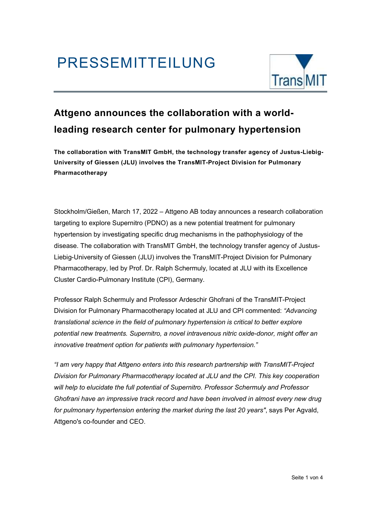

### Attgeno announces the collaboration with a worldleading research center for pulmonary hypertension

The collaboration with TransMIT GmbH, the technology transfer agency of Justus-Liebig-University of Giessen (JLU) involves the TransMIT-Project Division for Pulmonary Pharmacotherapy

Stockholm/Gießen, March 17, 2022 – Attgeno AB today announces a research collaboration targeting to explore Supernitro (PDNO) as a new potential treatment for pulmonary hypertension by investigating specific drug mechanisms in the pathophysiology of the disease. The collaboration with TransMIT GmbH, the technology transfer agency of Justus-Liebig-University of Giessen (JLU) involves the TransMIT-Project Division for Pulmonary Pharmacotherapy, led by Prof. Dr. Ralph Schermuly, located at JLU with its Excellence Cluster Cardio-Pulmonary Institute (CPI), Germany.

Professor Ralph Schermuly and Professor Ardeschir Ghofrani of the TransMIT-Project Division for Pulmonary Pharmacotherapy located at JLU and CPI commented: "Advancing translational science in the field of pulmonary hypertension is critical to better explore potential new treatments. Supernitro, a novel intravenous nitric oxide-donor, might offer an innovative treatment option for patients with pulmonary hypertension."

"I am very happy that Attgeno enters into this research partnership with TransMIT-Project Division for Pulmonary Pharmacotherapy located at JLU and the CPI. This key cooperation will help to elucidate the full potential of Supernitro. Professor Schermuly and Professor Ghofrani have an impressive track record and have been involved in almost every new drug for pulmonary hypertension entering the market during the last 20 years", says Per Agvald, Attgeno's co-founder and CEO.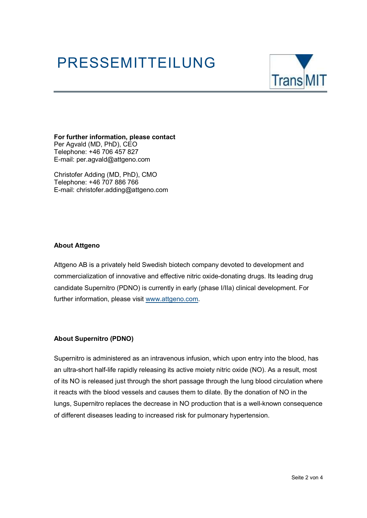

For further information, please contact Per Agvald (MD, PhD), CEO Telephone: +46 706 457 827 E-mail: per.agvald@attgeno.com

Christofer Adding (MD, PhD), CMO Telephone: +46 707 886 766 E-mail: christofer.adding@attgeno.com

#### About Attgeno

Attgeno AB is a privately held Swedish biotech company devoted to development and commercialization of innovative and effective nitric oxide-donating drugs. Its leading drug candidate Supernitro (PDNO) is currently in early (phase I/IIa) clinical development. For further information, please visit www.attgeno.com.

#### About Supernitro (PDNO)

Supernitro is administered as an intravenous infusion, which upon entry into the blood, has an ultra-short half-life rapidly releasing its active moiety nitric oxide (NO). As a result, most of its NO is released just through the short passage through the lung blood circulation where it reacts with the blood vessels and causes them to dilate. By the donation of NO in the lungs, Supernitro replaces the decrease in NO production that is a well-known consequence of different diseases leading to increased risk for pulmonary hypertension.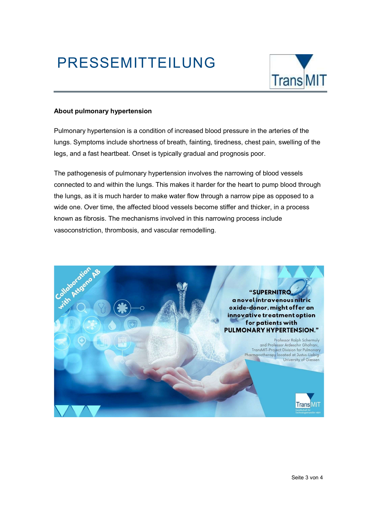

#### About pulmonary hypertension

Pulmonary hypertension is a condition of increased blood pressure in the arteries of the lungs. Symptoms include shortness of breath, fainting, tiredness, chest pain, swelling of the legs, and a fast heartbeat. Onset is typically gradual and prognosis poor.

The pathogenesis of pulmonary hypertension involves the narrowing of blood vessels connected to and within the lungs. This makes it harder for the heart to pump blood through the lungs, as it is much harder to make water flow through a narrow pipe as opposed to a wide one. Over time, the affected blood vessels become stiffer and thicker, in a process known as fibrosis. The mechanisms involved in this narrowing process include vasoconstriction, thrombosis, and vascular remodelling.